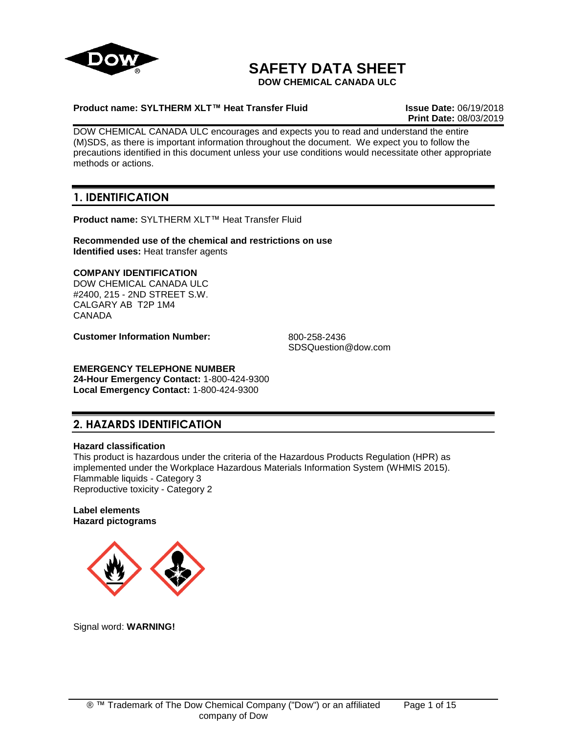

# **SAFETY DATA SHEET**

**DOW CHEMICAL CANADA ULC**

## **Product name: SYLTHERM XLT™ Heat Transfer Fluid Issue Date:** 06/19/2018

**Print Date:** 08/03/2019

DOW CHEMICAL CANADA ULC encourages and expects you to read and understand the entire (M)SDS, as there is important information throughout the document. We expect you to follow the precautions identified in this document unless your use conditions would necessitate other appropriate methods or actions.

## **1. IDENTIFICATION**

**Product name:** SYLTHERM XLT™ Heat Transfer Fluid

**Recommended use of the chemical and restrictions on use Identified uses:** Heat transfer agents

## **COMPANY IDENTIFICATION**

DOW CHEMICAL CANADA ULC #2400, 215 - 2ND STREET S.W. CALGARY AB T2P 1M4 CANADA

**Customer Information Number:** 800-258-2436

SDSQuestion@dow.com

## **EMERGENCY TELEPHONE NUMBER**

**24-Hour Emergency Contact:** 1-800-424-9300 **Local Emergency Contact:** 1-800-424-9300

## **2. HAZARDS IDENTIFICATION**

## **Hazard classification**

This product is hazardous under the criteria of the Hazardous Products Regulation (HPR) as implemented under the Workplace Hazardous Materials Information System (WHMIS 2015). Flammable liquids - Category 3 Reproductive toxicity - Category 2

#### **Label elements Hazard pictograms**



Signal word: **WARNING!**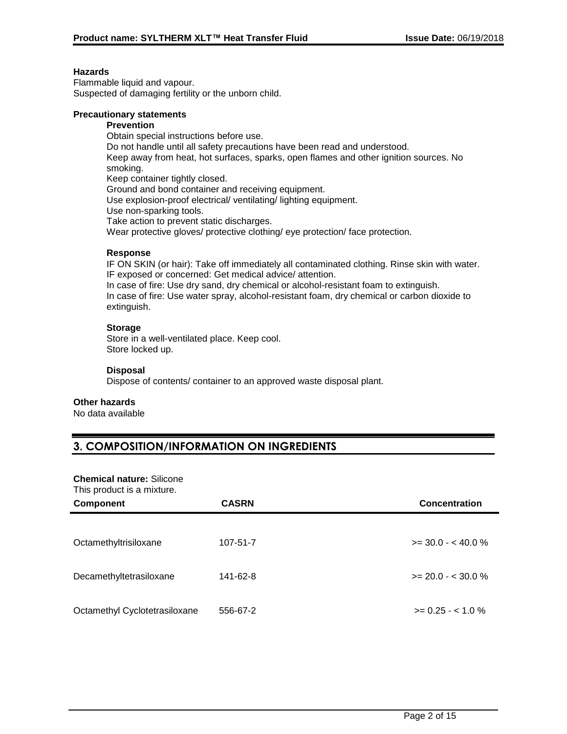#### **Hazards**

Flammable liquid and vapour. Suspected of damaging fertility or the unborn child.

#### **Precautionary statements**

#### **Prevention**

Obtain special instructions before use.

Do not handle until all safety precautions have been read and understood.

Keep away from heat, hot surfaces, sparks, open flames and other ignition sources. No smoking.

Keep container tightly closed.

Ground and bond container and receiving equipment.

Use explosion-proof electrical/ ventilating/ lighting equipment.

Use non-sparking tools.

Take action to prevent static discharges.

Wear protective gloves/ protective clothing/ eye protection/ face protection.

#### **Response**

IF ON SKIN (or hair): Take off immediately all contaminated clothing. Rinse skin with water. IF exposed or concerned: Get medical advice/ attention.

In case of fire: Use dry sand, dry chemical or alcohol-resistant foam to extinguish. In case of fire: Use water spray, alcohol-resistant foam, dry chemical or carbon dioxide to extinguish.

### **Storage**

Store in a well-ventilated place. Keep cool. Store locked up.

#### **Disposal**

Dispose of contents/ container to an approved waste disposal plant.

#### **Other hazards**

No data available

## **3. COMPOSITION/INFORMATION ON INGREDIENTS**

#### **Chemical nature:** Silicone

This product is a mixture.

| <b>Component</b>              | <b>CASRN</b> | <b>Concentration</b>   |
|-------------------------------|--------------|------------------------|
|                               |              |                        |
| Octamethyltrisiloxane         | 107-51-7     | $>=$ 30.0 - < 40.0 %   |
|                               |              |                        |
| Decamethyltetrasiloxane       | 141-62-8     | $>= 20.0 - < 30.0 %$   |
|                               |              |                        |
| Octamethyl Cyclotetrasiloxane | 556-67-2     | $\ge$ = 0.25 - < 1.0 % |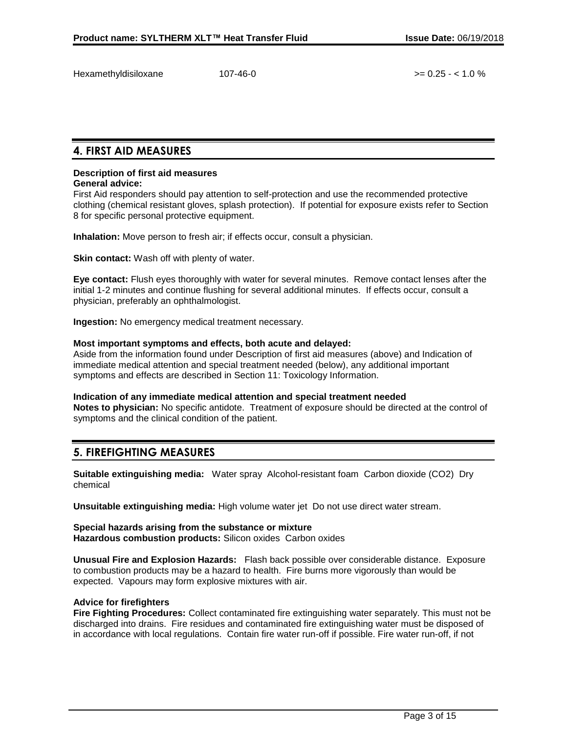Hexamethyldisiloxane 107-46-0 >= 0.25 - < 1.0 %

## **4. FIRST AID MEASURES**

## **Description of first aid measures**

#### **General advice:**

First Aid responders should pay attention to self-protection and use the recommended protective clothing (chemical resistant gloves, splash protection). If potential for exposure exists refer to Section 8 for specific personal protective equipment.

**Inhalation:** Move person to fresh air; if effects occur, consult a physician.

**Skin contact:** Wash off with plenty of water.

**Eye contact:** Flush eyes thoroughly with water for several minutes. Remove contact lenses after the initial 1-2 minutes and continue flushing for several additional minutes. If effects occur, consult a physician, preferably an ophthalmologist.

**Ingestion:** No emergency medical treatment necessary.

#### **Most important symptoms and effects, both acute and delayed:**

Aside from the information found under Description of first aid measures (above) and Indication of immediate medical attention and special treatment needed (below), any additional important symptoms and effects are described in Section 11: Toxicology Information.

#### **Indication of any immediate medical attention and special treatment needed**

**Notes to physician:** No specific antidote. Treatment of exposure should be directed at the control of symptoms and the clinical condition of the patient.

## **5. FIREFIGHTING MEASURES**

**Suitable extinguishing media:** Water spray Alcohol-resistant foam Carbon dioxide (CO2) Dry chemical

**Unsuitable extinguishing media:** High volume water jet Do not use direct water stream.

**Special hazards arising from the substance or mixture Hazardous combustion products:** Silicon oxides Carbon oxides

**Unusual Fire and Explosion Hazards:** Flash back possible over considerable distance. Exposure to combustion products may be a hazard to health. Fire burns more vigorously than would be expected. Vapours may form explosive mixtures with air.

#### **Advice for firefighters**

**Fire Fighting Procedures:** Collect contaminated fire extinguishing water separately. This must not be discharged into drains. Fire residues and contaminated fire extinguishing water must be disposed of in accordance with local regulations. Contain fire water run-off if possible. Fire water run-off, if not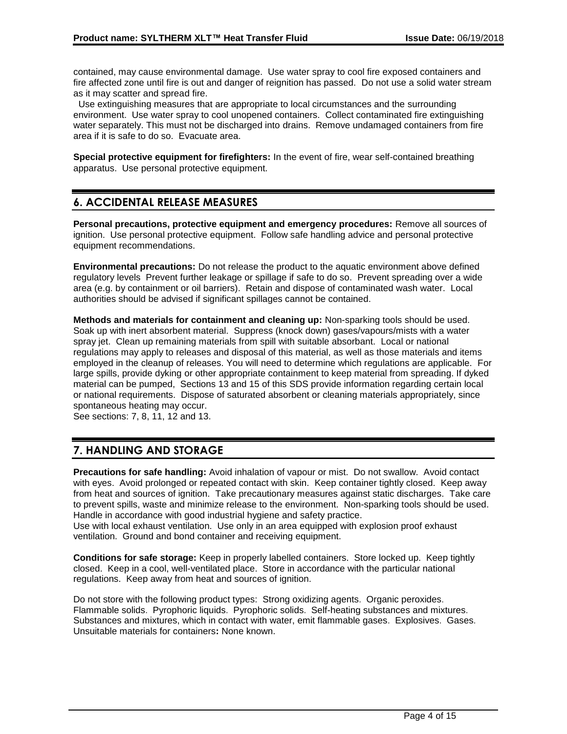contained, may cause environmental damage. Use water spray to cool fire exposed containers and fire affected zone until fire is out and danger of reignition has passed. Do not use a solid water stream as it may scatter and spread fire.

 Use extinguishing measures that are appropriate to local circumstances and the surrounding environment. Use water spray to cool unopened containers. Collect contaminated fire extinguishing water separately. This must not be discharged into drains. Remove undamaged containers from fire area if it is safe to do so. Evacuate area.

**Special protective equipment for firefighters:** In the event of fire, wear self-contained breathing apparatus. Use personal protective equipment.

## **6. ACCIDENTAL RELEASE MEASURES**

**Personal precautions, protective equipment and emergency procedures:** Remove all sources of ignition. Use personal protective equipment. Follow safe handling advice and personal protective equipment recommendations.

**Environmental precautions:** Do not release the product to the aquatic environment above defined regulatory levels Prevent further leakage or spillage if safe to do so. Prevent spreading over a wide area (e.g. by containment or oil barriers). Retain and dispose of contaminated wash water. Local authorities should be advised if significant spillages cannot be contained.

**Methods and materials for containment and cleaning up:** Non-sparking tools should be used. Soak up with inert absorbent material. Suppress (knock down) gases/vapours/mists with a water spray jet. Clean up remaining materials from spill with suitable absorbant. Local or national regulations may apply to releases and disposal of this material, as well as those materials and items employed in the cleanup of releases. You will need to determine which regulations are applicable. For large spills, provide dyking or other appropriate containment to keep material from spreading. If dyked material can be pumped, Sections 13 and 15 of this SDS provide information regarding certain local or national requirements. Dispose of saturated absorbent or cleaning materials appropriately, since spontaneous heating may occur.

See sections: 7, 8, 11, 12 and 13.

## **7. HANDLING AND STORAGE**

**Precautions for safe handling:** Avoid inhalation of vapour or mist. Do not swallow. Avoid contact with eyes. Avoid prolonged or repeated contact with skin. Keep container tightly closed. Keep away from heat and sources of ignition. Take precautionary measures against static discharges. Take care to prevent spills, waste and minimize release to the environment. Non-sparking tools should be used. Handle in accordance with good industrial hygiene and safety practice.

Use with local exhaust ventilation. Use only in an area equipped with explosion proof exhaust ventilation. Ground and bond container and receiving equipment.

**Conditions for safe storage:** Keep in properly labelled containers. Store locked up. Keep tightly closed. Keep in a cool, well-ventilated place. Store in accordance with the particular national regulations. Keep away from heat and sources of ignition.

Do not store with the following product types: Strong oxidizing agents. Organic peroxides. Flammable solids. Pyrophoric liquids. Pyrophoric solids. Self-heating substances and mixtures. Substances and mixtures, which in contact with water, emit flammable gases. Explosives. Gases. Unsuitable materials for containers**:** None known.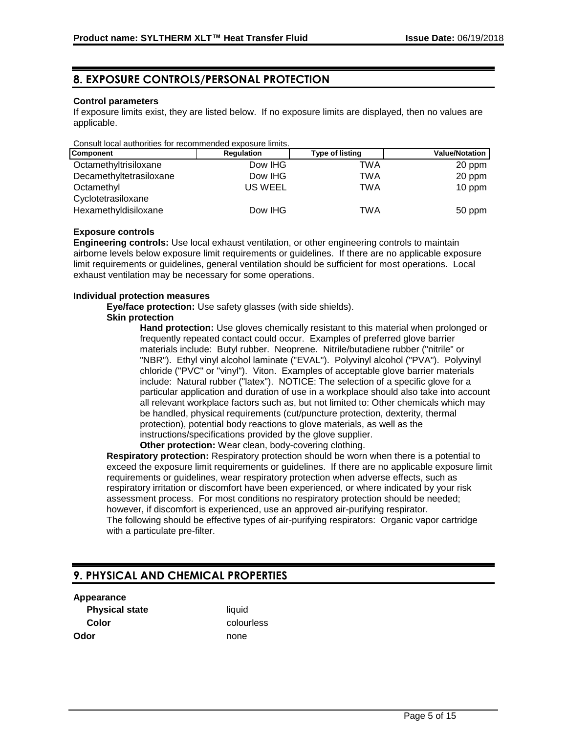## **8. EXPOSURE CONTROLS/PERSONAL PROTECTION**

#### **Control parameters**

If exposure limits exist, they are listed below. If no exposure limits are displayed, then no values are applicable.

| Consult local authorities for recommended exposure limits. |            |                 |                       |
|------------------------------------------------------------|------------|-----------------|-----------------------|
| <b>Component</b>                                           | Regulation | Type of listing | <b>Value/Notation</b> |
| Octamethyltrisiloxane                                      | Dow IHG    | TWA             | 20 ppm                |
| Decamethyltetrasiloxane                                    | Dow IHG    | TWA             | 20 ppm                |
| Octamethyl                                                 | US WEEL    | TWA             | 10 ppm                |
| Cyclotetrasiloxane                                         |            |                 |                       |
| Hexamethyldisiloxane                                       | Dow IHG    | TWA             | 50 ppm                |

## **Exposure controls**

**Engineering controls:** Use local exhaust ventilation, or other engineering controls to maintain airborne levels below exposure limit requirements or guidelines. If there are no applicable exposure limit requirements or guidelines, general ventilation should be sufficient for most operations. Local exhaust ventilation may be necessary for some operations.

#### **Individual protection measures**

**Eye/face protection:** Use safety glasses (with side shields).

## **Skin protection**

**Hand protection:** Use gloves chemically resistant to this material when prolonged or frequently repeated contact could occur. Examples of preferred glove barrier materials include: Butyl rubber. Neoprene. Nitrile/butadiene rubber ("nitrile" or "NBR"). Ethyl vinyl alcohol laminate ("EVAL"). Polyvinyl alcohol ("PVA"). Polyvinyl chloride ("PVC" or "vinyl"). Viton. Examples of acceptable glove barrier materials include: Natural rubber ("latex"). NOTICE: The selection of a specific glove for a particular application and duration of use in a workplace should also take into account all relevant workplace factors such as, but not limited to: Other chemicals which may be handled, physical requirements (cut/puncture protection, dexterity, thermal protection), potential body reactions to glove materials, as well as the instructions/specifications provided by the glove supplier. **Other protection:** Wear clean, body-covering clothing.

**Respiratory protection:** Respiratory protection should be worn when there is a potential to exceed the exposure limit requirements or guidelines. If there are no applicable exposure limit requirements or guidelines, wear respiratory protection when adverse effects, such as respiratory irritation or discomfort have been experienced, or where indicated by your risk assessment process. For most conditions no respiratory protection should be needed; however, if discomfort is experienced, use an approved air-purifying respirator. The following should be effective types of air-purifying respirators: Organic vapor cartridge with a particulate pre-filter.

## **9. PHYSICAL AND CHEMICAL PROPERTIES**

#### **Appearance**

**Physical state** liquid **Color** colourless **Odor** none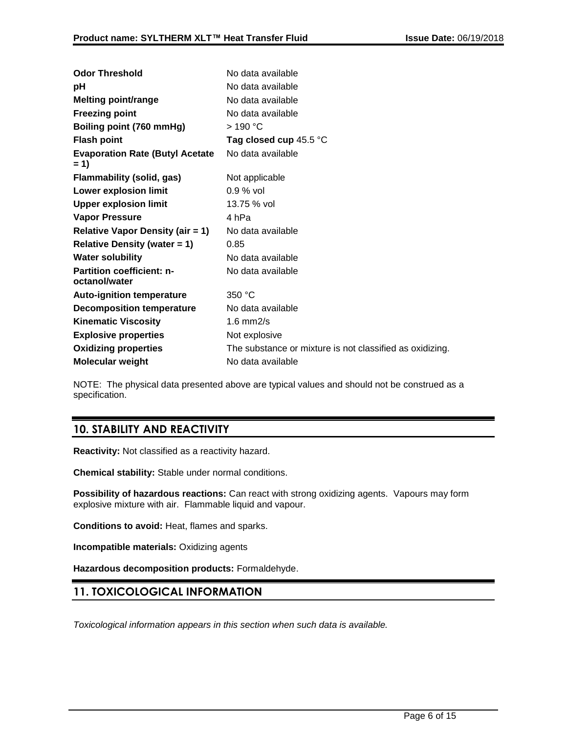| <b>Odor Threshold</b>                             | No data available                                        |
|---------------------------------------------------|----------------------------------------------------------|
| рH                                                | No data available                                        |
| <b>Melting point/range</b>                        | No data available                                        |
| <b>Freezing point</b>                             | No data available                                        |
| Boiling point (760 mmHg)                          | >190 °C                                                  |
| <b>Flash point</b>                                | Tag closed cup $45.5\textdegree C$                       |
| <b>Evaporation Rate (Butyl Acetate)</b><br>= 1)   | No data available                                        |
| <b>Flammability (solid, gas)</b>                  | Not applicable                                           |
| <b>Lower explosion limit</b>                      | $0.9\%$ vol                                              |
| <b>Upper explosion limit</b>                      | 13.75 % vol                                              |
| <b>Vapor Pressure</b>                             | 4 hPa                                                    |
| <b>Relative Vapor Density (air = 1)</b>           | No data available                                        |
| <b>Relative Density (water = 1)</b>               | 0.85                                                     |
| <b>Water solubility</b>                           | No data available                                        |
| <b>Partition coefficient: n-</b><br>octanol/water | No data available                                        |
| <b>Auto-ignition temperature</b>                  | 350 °C                                                   |
| <b>Decomposition temperature</b>                  | No data available                                        |
| <b>Kinematic Viscosity</b>                        | $1.6$ mm $2/s$                                           |
| <b>Explosive properties</b>                       | Not explosive                                            |
| <b>Oxidizing properties</b>                       | The substance or mixture is not classified as oxidizing. |
| <b>Molecular weight</b>                           | No data available                                        |

NOTE: The physical data presented above are typical values and should not be construed as a specification.

## **10. STABILITY AND REACTIVITY**

**Reactivity:** Not classified as a reactivity hazard.

**Chemical stability:** Stable under normal conditions.

**Possibility of hazardous reactions:** Can react with strong oxidizing agents. Vapours may form explosive mixture with air. Flammable liquid and vapour.

**Conditions to avoid:** Heat, flames and sparks.

**Incompatible materials:** Oxidizing agents

**Hazardous decomposition products:** Formaldehyde.

## **11. TOXICOLOGICAL INFORMATION**

*Toxicological information appears in this section when such data is available.*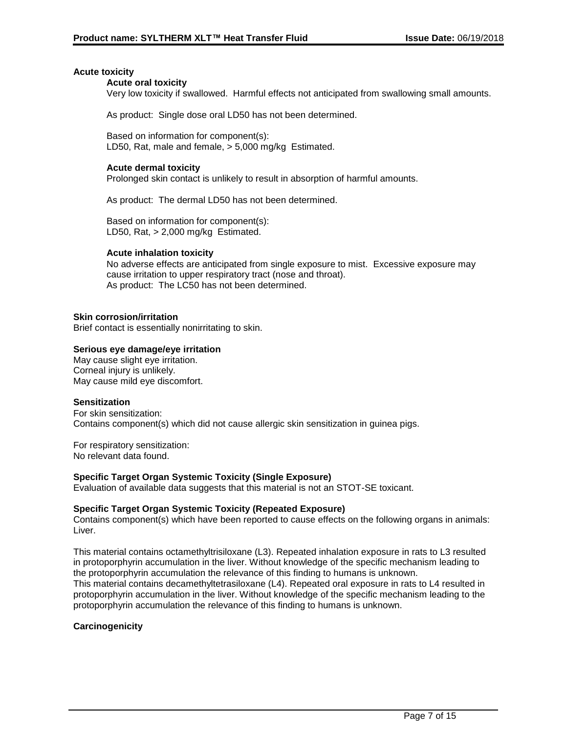### **Acute toxicity**

#### **Acute oral toxicity**

Very low toxicity if swallowed. Harmful effects not anticipated from swallowing small amounts.

As product: Single dose oral LD50 has not been determined.

Based on information for component(s): LD50, Rat, male and female, > 5,000 mg/kg Estimated.

### **Acute dermal toxicity**

Prolonged skin contact is unlikely to result in absorption of harmful amounts.

As product: The dermal LD50 has not been determined.

Based on information for component(s): LD50, Rat, > 2,000 mg/kg Estimated.

#### **Acute inhalation toxicity**

No adverse effects are anticipated from single exposure to mist. Excessive exposure may cause irritation to upper respiratory tract (nose and throat). As product: The LC50 has not been determined.

#### **Skin corrosion/irritation**

Brief contact is essentially nonirritating to skin.

## **Serious eye damage/eye irritation**

May cause slight eye irritation. Corneal injury is unlikely. May cause mild eye discomfort.

#### **Sensitization**

For skin sensitization: Contains component(s) which did not cause allergic skin sensitization in guinea pigs.

For respiratory sensitization: No relevant data found.

#### **Specific Target Organ Systemic Toxicity (Single Exposure)**

Evaluation of available data suggests that this material is not an STOT-SE toxicant.

#### **Specific Target Organ Systemic Toxicity (Repeated Exposure)**

Contains component(s) which have been reported to cause effects on the following organs in animals: Liver.

This material contains octamethyltrisiloxane (L3). Repeated inhalation exposure in rats to L3 resulted in protoporphyrin accumulation in the liver. Without knowledge of the specific mechanism leading to the protoporphyrin accumulation the relevance of this finding to humans is unknown.

This material contains decamethyltetrasiloxane (L4). Repeated oral exposure in rats to L4 resulted in protoporphyrin accumulation in the liver. Without knowledge of the specific mechanism leading to the protoporphyrin accumulation the relevance of this finding to humans is unknown.

#### **Carcinogenicity**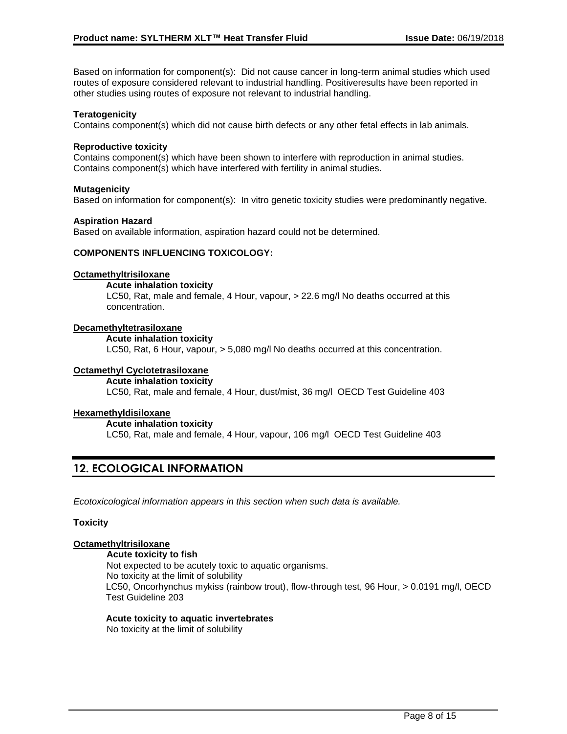Based on information for component(s): Did not cause cancer in long-term animal studies which used routes of exposure considered relevant to industrial handling. Positiveresults have been reported in other studies using routes of exposure not relevant to industrial handling.

### **Teratogenicity**

Contains component(s) which did not cause birth defects or any other fetal effects in lab animals.

#### **Reproductive toxicity**

Contains component(s) which have been shown to interfere with reproduction in animal studies. Contains component(s) which have interfered with fertility in animal studies.

#### **Mutagenicity**

Based on information for component(s): In vitro genetic toxicity studies were predominantly negative.

#### **Aspiration Hazard**

Based on available information, aspiration hazard could not be determined.

#### **COMPONENTS INFLUENCING TOXICOLOGY:**

#### **Octamethyltrisiloxane**

**Acute inhalation toxicity** LC50, Rat, male and female, 4 Hour, vapour, > 22.6 mg/l No deaths occurred at this concentration.

#### **Decamethyltetrasiloxane**

#### **Acute inhalation toxicity**

LC50, Rat, 6 Hour, vapour, > 5,080 mg/l No deaths occurred at this concentration.

#### **Octamethyl Cyclotetrasiloxane**

#### **Acute inhalation toxicity**

LC50, Rat, male and female, 4 Hour, dust/mist, 36 mg/l OECD Test Guideline 403

#### **Hexamethyldisiloxane**

**Acute inhalation toxicity** LC50, Rat, male and female, 4 Hour, vapour, 106 mg/l OECD Test Guideline 403

## **12. ECOLOGICAL INFORMATION**

*Ecotoxicological information appears in this section when such data is available.*

#### **Toxicity**

#### **Octamethyltrisiloxane**

#### **Acute toxicity to fish**

Not expected to be acutely toxic to aquatic organisms. No toxicity at the limit of solubility LC50, Oncorhynchus mykiss (rainbow trout), flow-through test, 96 Hour, > 0.0191 mg/l, OECD Test Guideline 203

#### **Acute toxicity to aquatic invertebrates**

No toxicity at the limit of solubility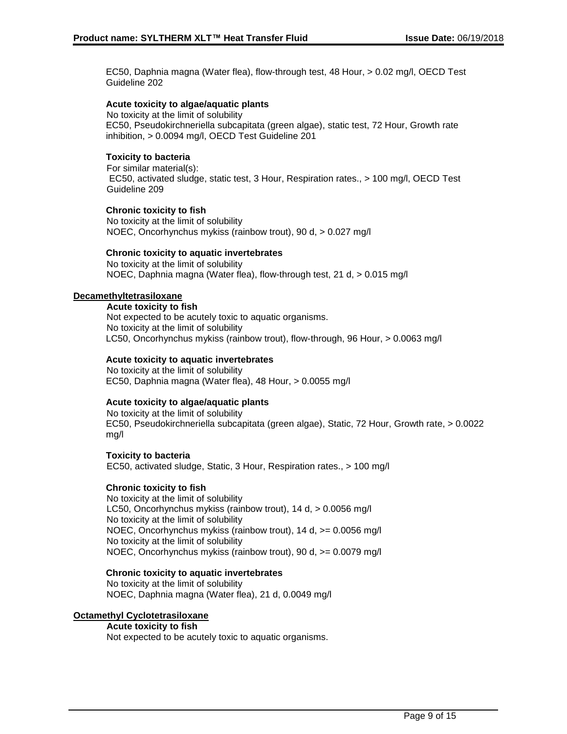EC50, Daphnia magna (Water flea), flow-through test, 48 Hour, > 0.02 mg/l, OECD Test Guideline 202

## **Acute toxicity to algae/aquatic plants**

No toxicity at the limit of solubility EC50, Pseudokirchneriella subcapitata (green algae), static test, 72 Hour, Growth rate inhibition, > 0.0094 mg/l, OECD Test Guideline 201

## **Toxicity to bacteria**

For similar material(s): EC50, activated sludge, static test, 3 Hour, Respiration rates., > 100 mg/l, OECD Test Guideline 209

#### **Chronic toxicity to fish**

No toxicity at the limit of solubility NOEC, Oncorhynchus mykiss (rainbow trout), 90 d, > 0.027 mg/l

## **Chronic toxicity to aquatic invertebrates**

No toxicity at the limit of solubility NOEC, Daphnia magna (Water flea), flow-through test, 21 d, > 0.015 mg/l

#### **Decamethyltetrasiloxane**

**Acute toxicity to fish**

Not expected to be acutely toxic to aquatic organisms. No toxicity at the limit of solubility LC50, Oncorhynchus mykiss (rainbow trout), flow-through, 96 Hour, > 0.0063 mg/l

#### **Acute toxicity to aquatic invertebrates**

No toxicity at the limit of solubility EC50, Daphnia magna (Water flea), 48 Hour, > 0.0055 mg/l

## **Acute toxicity to algae/aquatic plants**

No toxicity at the limit of solubility EC50, Pseudokirchneriella subcapitata (green algae), Static, 72 Hour, Growth rate, > 0.0022 mg/l

**Toxicity to bacteria** EC50, activated sludge, Static, 3 Hour, Respiration rates., > 100 mg/l

#### **Chronic toxicity to fish**

No toxicity at the limit of solubility LC50, Oncorhynchus mykiss (rainbow trout), 14 d, > 0.0056 mg/l No toxicity at the limit of solubility NOEC, Oncorhynchus mykiss (rainbow trout), 14 d, >= 0.0056 mg/l No toxicity at the limit of solubility NOEC, Oncorhynchus mykiss (rainbow trout), 90 d, >= 0.0079 mg/l

#### **Chronic toxicity to aquatic invertebrates**

No toxicity at the limit of solubility NOEC, Daphnia magna (Water flea), 21 d, 0.0049 mg/l

#### **Octamethyl Cyclotetrasiloxane**

## **Acute toxicity to fish**

Not expected to be acutely toxic to aquatic organisms.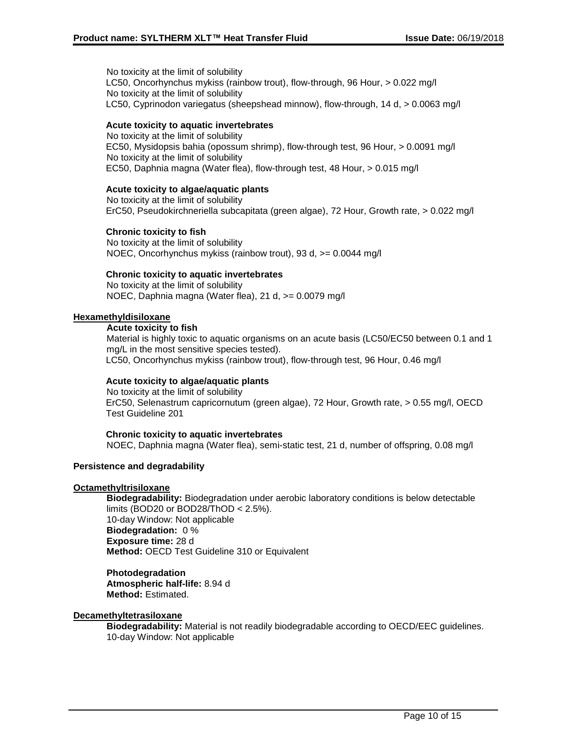No toxicity at the limit of solubility LC50, Oncorhynchus mykiss (rainbow trout), flow-through, 96 Hour, > 0.022 mg/l No toxicity at the limit of solubility LC50, Cyprinodon variegatus (sheepshead minnow), flow-through, 14 d, > 0.0063 mg/l

## **Acute toxicity to aquatic invertebrates**

No toxicity at the limit of solubility EC50, Mysidopsis bahia (opossum shrimp), flow-through test, 96 Hour, > 0.0091 mg/l No toxicity at the limit of solubility EC50, Daphnia magna (Water flea), flow-through test, 48 Hour, > 0.015 mg/l

#### **Acute toxicity to algae/aquatic plants**

No toxicity at the limit of solubility ErC50, Pseudokirchneriella subcapitata (green algae), 72 Hour, Growth rate, > 0.022 mg/l

#### **Chronic toxicity to fish**

No toxicity at the limit of solubility NOEC, Oncorhynchus mykiss (rainbow trout), 93 d, >= 0.0044 mg/l

## **Chronic toxicity to aquatic invertebrates**

No toxicity at the limit of solubility NOEC, Daphnia magna (Water flea), 21 d, >= 0.0079 mg/l

#### **Hexamethyldisiloxane**

#### **Acute toxicity to fish**

Material is highly toxic to aquatic organisms on an acute basis (LC50/EC50 between 0.1 and 1 mg/L in the most sensitive species tested). LC50, Oncorhynchus mykiss (rainbow trout), flow-through test, 96 Hour, 0.46 mg/l

### **Acute toxicity to algae/aquatic plants**

No toxicity at the limit of solubility ErC50, Selenastrum capricornutum (green algae), 72 Hour, Growth rate, > 0.55 mg/l, OECD Test Guideline 201

#### **Chronic toxicity to aquatic invertebrates**

NOEC, Daphnia magna (Water flea), semi-static test, 21 d, number of offspring, 0.08 mg/l

#### **Persistence and degradability**

#### **Octamethyltrisiloxane**

**Biodegradability:** Biodegradation under aerobic laboratory conditions is below detectable limits (BOD20 or BOD28/ThOD < 2.5%). 10-day Window: Not applicable **Biodegradation:** 0 % **Exposure time:** 28 d **Method:** OECD Test Guideline 310 or Equivalent

**Photodegradation Atmospheric half-life:** 8.94 d **Method:** Estimated.

#### **Decamethyltetrasiloxane**

**Biodegradability:** Material is not readily biodegradable according to OECD/EEC guidelines. 10-day Window: Not applicable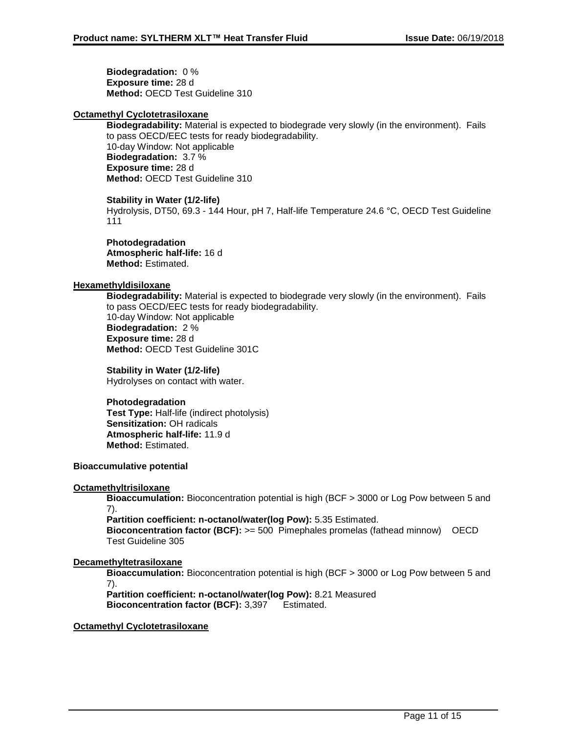**Biodegradation:** 0 % **Exposure time:** 28 d **Method:** OECD Test Guideline 310

## **Octamethyl Cyclotetrasiloxane**

**Biodegradability:** Material is expected to biodegrade very slowly (in the environment). Fails to pass OECD/EEC tests for ready biodegradability. 10-day Window: Not applicable **Biodegradation:** 3.7 % **Exposure time:** 28 d **Method:** OECD Test Guideline 310

#### **Stability in Water (1/2-life)**

Hydrolysis, DT50, 69.3 - 144 Hour, pH 7, Half-life Temperature 24.6 °C, OECD Test Guideline 111

**Photodegradation Atmospheric half-life:** 16 d **Method:** Estimated.

## **Hexamethyldisiloxane**

**Biodegradability:** Material is expected to biodegrade very slowly (in the environment). Fails to pass OECD/EEC tests for ready biodegradability. 10-day Window: Not applicable **Biodegradation:** 2 % **Exposure time:** 28 d **Method:** OECD Test Guideline 301C

**Stability in Water (1/2-life)** Hydrolyses on contact with water.

#### **Photodegradation**

**Test Type:** Half-life (indirect photolysis) **Sensitization:** OH radicals **Atmospheric half-life:** 11.9 d **Method:** Estimated.

## **Bioaccumulative potential**

#### **Octamethyltrisiloxane**

**Bioaccumulation:** Bioconcentration potential is high (BCF > 3000 or Log Pow between 5 and 7).

**Partition coefficient: n-octanol/water(log Pow):** 5.35 Estimated.

**Bioconcentration factor (BCF):** >= 500 Pimephales promelas (fathead minnow) OECD Test Guideline 305

## **Decamethyltetrasiloxane**

**Bioaccumulation:** Bioconcentration potential is high (BCF > 3000 or Log Pow between 5 and 7).

**Partition coefficient: n-octanol/water(log Pow):** 8.21 Measured **Bioconcentration factor (BCF):** 3,397 Estimated.

#### **Octamethyl Cyclotetrasiloxane**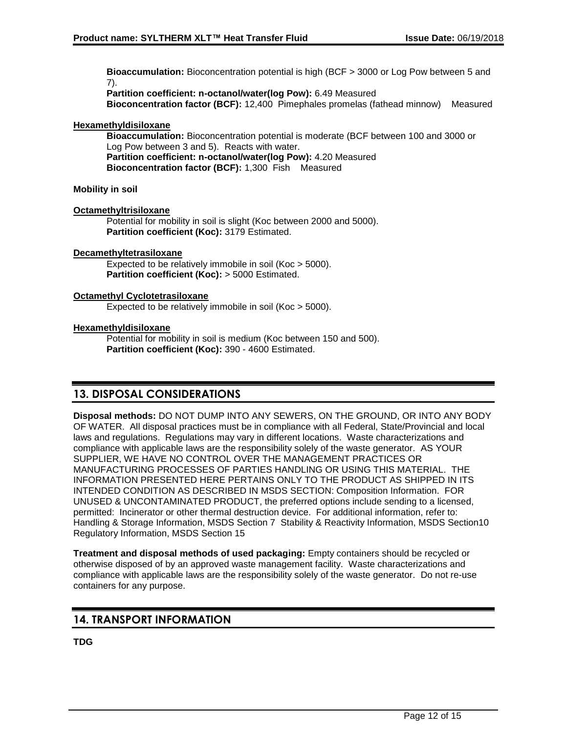**Bioaccumulation:** Bioconcentration potential is high (BCF > 3000 or Log Pow between 5 and 7).

**Partition coefficient: n-octanol/water(log Pow):** 6.49 Measured **Bioconcentration factor (BCF):** 12,400 Pimephales promelas (fathead minnow) Measured

## **Hexamethyldisiloxane**

**Bioaccumulation:** Bioconcentration potential is moderate (BCF between 100 and 3000 or Log Pow between 3 and 5). Reacts with water. **Partition coefficient: n-octanol/water(log Pow):** 4.20 Measured **Bioconcentration factor (BCF):** 1,300 Fish Measured

## **Mobility in soil**

## **Octamethyltrisiloxane**

Potential for mobility in soil is slight (Koc between 2000 and 5000). **Partition coefficient (Koc):** 3179 Estimated.

## **Decamethyltetrasiloxane**

Expected to be relatively immobile in soil (Koc > 5000). **Partition coefficient (Koc):** > 5000 Estimated.

## **Octamethyl Cyclotetrasiloxane**

Expected to be relatively immobile in soil (Koc > 5000).

## **Hexamethyldisiloxane**

Potential for mobility in soil is medium (Koc between 150 and 500). **Partition coefficient (Koc):** 390 - 4600 Estimated.

## **13. DISPOSAL CONSIDERATIONS**

**Disposal methods:** DO NOT DUMP INTO ANY SEWERS, ON THE GROUND, OR INTO ANY BODY OF WATER. All disposal practices must be in compliance with all Federal, State/Provincial and local laws and regulations. Regulations may vary in different locations. Waste characterizations and compliance with applicable laws are the responsibility solely of the waste generator. AS YOUR SUPPLIER, WE HAVE NO CONTROL OVER THE MANAGEMENT PRACTICES OR MANUFACTURING PROCESSES OF PARTIES HANDLING OR USING THIS MATERIAL. THE INFORMATION PRESENTED HERE PERTAINS ONLY TO THE PRODUCT AS SHIPPED IN ITS INTENDED CONDITION AS DESCRIBED IN MSDS SECTION: Composition Information. FOR UNUSED & UNCONTAMINATED PRODUCT, the preferred options include sending to a licensed, permitted: Incinerator or other thermal destruction device. For additional information, refer to: Handling & Storage Information, MSDS Section 7 Stability & Reactivity Information, MSDS Section10 Regulatory Information, MSDS Section 15

**Treatment and disposal methods of used packaging:** Empty containers should be recycled or otherwise disposed of by an approved waste management facility. Waste characterizations and compliance with applicable laws are the responsibility solely of the waste generator. Do not re-use containers for any purpose.

## **14. TRANSPORT INFORMATION**

**TDG**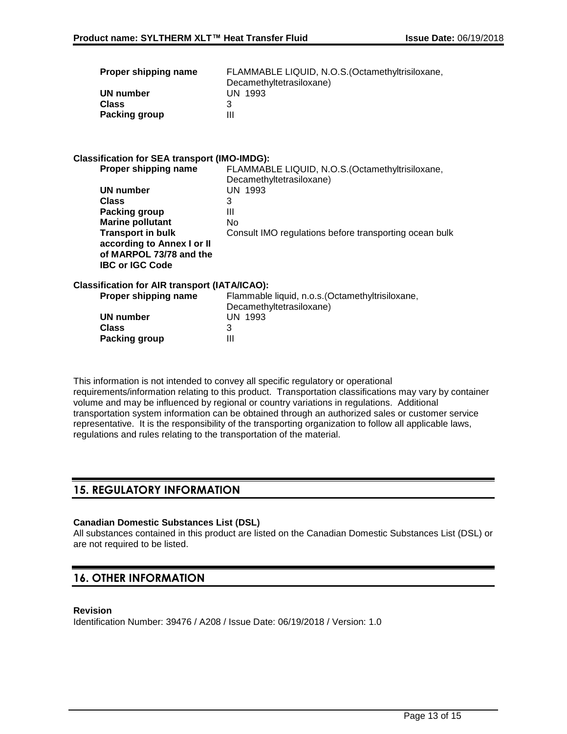| Proper shipping name | FLAMMABLE LIQUID, N.O.S. (Octamethyltrisiloxane, |
|----------------------|--------------------------------------------------|
|                      | Decamethyltetrasiloxane)                         |
| UN number            | UN 1993                                          |
| <b>Class</b>         |                                                  |
| <b>Packing group</b> | Ш                                                |

## **Classification for SEA transport (IMO-IMDG):**

| Proper shipping name       | FLAMMABLE LIQUID, N.O.S. (Octamethyltrisiloxane,       |
|----------------------------|--------------------------------------------------------|
|                            | Decamethyltetrasiloxane)                               |
| UN number                  | UN 1993                                                |
| <b>Class</b>               | 3                                                      |
| Packing group              | Ш                                                      |
| <b>Marine pollutant</b>    | No                                                     |
| <b>Transport in bulk</b>   | Consult IMO regulations before transporting ocean bulk |
| according to Annex I or II |                                                        |
| of MARPOL 73/78 and the    |                                                        |
| <b>IBC or IGC Code</b>     |                                                        |
|                            |                                                        |

## **Classification for AIR transport (IATA/ICAO):**

| Proper shipping name | Flammable liquid, n.o.s. (Octamethyltrisiloxane, |
|----------------------|--------------------------------------------------|
|                      | Decamethyltetrasiloxane)                         |
| UN number            | UN 1993                                          |
| Class                |                                                  |
| Packing group        | Ш                                                |

This information is not intended to convey all specific regulatory or operational requirements/information relating to this product. Transportation classifications may vary by container volume and may be influenced by regional or country variations in regulations. Additional transportation system information can be obtained through an authorized sales or customer service representative. It is the responsibility of the transporting organization to follow all applicable laws, regulations and rules relating to the transportation of the material.

## **15. REGULATORY INFORMATION**

#### **Canadian Domestic Substances List (DSL)**

All substances contained in this product are listed on the Canadian Domestic Substances List (DSL) or are not required to be listed.

## **16. OTHER INFORMATION**

### **Revision**

Identification Number: 39476 / A208 / Issue Date: 06/19/2018 / Version: 1.0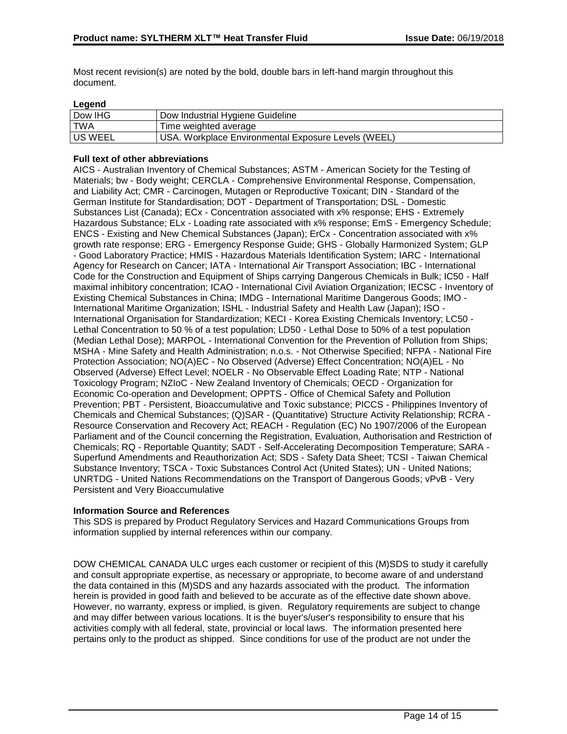Most recent revision(s) are noted by the bold, double bars in left-hand margin throughout this document.

## **Legend**

| $-99$     |                                                     |
|-----------|-----------------------------------------------------|
| Dow IHG   | Dow Industrial Hygiene Guideline                    |
| l TWA     | Time weighted average                               |
| l US WEEL | USA. Workplace Environmental Exposure Levels (WEEL) |

## **Full text of other abbreviations**

AICS - Australian Inventory of Chemical Substances; ASTM - American Society for the Testing of Materials; bw - Body weight; CERCLA - Comprehensive Environmental Response, Compensation, and Liability Act; CMR - Carcinogen, Mutagen or Reproductive Toxicant; DIN - Standard of the German Institute for Standardisation; DOT - Department of Transportation; DSL - Domestic Substances List (Canada); ECx - Concentration associated with x% response; EHS - Extremely Hazardous Substance; ELx - Loading rate associated with x% response; EmS - Emergency Schedule; ENCS - Existing and New Chemical Substances (Japan); ErCx - Concentration associated with x% growth rate response; ERG - Emergency Response Guide; GHS - Globally Harmonized System; GLP - Good Laboratory Practice; HMIS - Hazardous Materials Identification System; IARC - International Agency for Research on Cancer; IATA - International Air Transport Association; IBC - International Code for the Construction and Equipment of Ships carrying Dangerous Chemicals in Bulk; IC50 - Half maximal inhibitory concentration; ICAO - International Civil Aviation Organization; IECSC - Inventory of Existing Chemical Substances in China; IMDG - International Maritime Dangerous Goods; IMO - International Maritime Organization; ISHL - Industrial Safety and Health Law (Japan); ISO - International Organisation for Standardization; KECI - Korea Existing Chemicals Inventory; LC50 - Lethal Concentration to 50 % of a test population; LD50 - Lethal Dose to 50% of a test population (Median Lethal Dose); MARPOL - International Convention for the Prevention of Pollution from Ships; MSHA - Mine Safety and Health Administration; n.o.s. - Not Otherwise Specified; NFPA - National Fire Protection Association; NO(A)EC - No Observed (Adverse) Effect Concentration; NO(A)EL - No Observed (Adverse) Effect Level; NOELR - No Observable Effect Loading Rate; NTP - National Toxicology Program; NZIoC - New Zealand Inventory of Chemicals; OECD - Organization for Economic Co-operation and Development; OPPTS - Office of Chemical Safety and Pollution Prevention; PBT - Persistent, Bioaccumulative and Toxic substance; PICCS - Philippines Inventory of Chemicals and Chemical Substances; (Q)SAR - (Quantitative) Structure Activity Relationship; RCRA - Resource Conservation and Recovery Act; REACH - Regulation (EC) No 1907/2006 of the European Parliament and of the Council concerning the Registration, Evaluation, Authorisation and Restriction of Chemicals; RQ - Reportable Quantity; SADT - Self-Accelerating Decomposition Temperature; SARA - Superfund Amendments and Reauthorization Act; SDS - Safety Data Sheet; TCSI - Taiwan Chemical Substance Inventory; TSCA - Toxic Substances Control Act (United States); UN - United Nations; UNRTDG - United Nations Recommendations on the Transport of Dangerous Goods; vPvB - Very Persistent and Very Bioaccumulative

#### **Information Source and References**

This SDS is prepared by Product Regulatory Services and Hazard Communications Groups from information supplied by internal references within our company.

DOW CHEMICAL CANADA ULC urges each customer or recipient of this (M)SDS to study it carefully and consult appropriate expertise, as necessary or appropriate, to become aware of and understand the data contained in this (M)SDS and any hazards associated with the product. The information herein is provided in good faith and believed to be accurate as of the effective date shown above. However, no warranty, express or implied, is given. Regulatory requirements are subject to change and may differ between various locations. It is the buyer's/user's responsibility to ensure that his activities comply with all federal, state, provincial or local laws. The information presented here pertains only to the product as shipped. Since conditions for use of the product are not under the